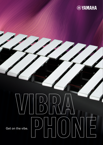

# **V/IB**<br>B<br>D<br>N Get on the vibe.<br>  $\begin{picture}(20,115) \put(0,0){\line(1,0){155}} \put(15,0){\line(1,0){155}} \put(15,0){\line(1,0){155}} \put(15,0){\line(1,0){155}} \put(15,0){\line(1,0){155}} \put(15,0){\line(1,0){155}} \put(15,0){\line(1,0){155}} \put(15,0){\line(1,0){155}} \put(15,0){\line(1,0){155}} \put(15,0){\line(1,0){155}} \$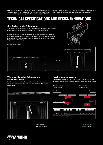Designed to support new players in the best possible way, the new YV-2030MS from Yamaha benefits from professional specifications such as gas spring height adjustment, a parallel damper action and a

new bar material for a warmer sound. In combination, these elements offer superb playability and support players as they progress.

# **TECHNICAL SPECIFICATIONS AND DESIGN INNOVATIONS.**

66 cm

## **Gas Spring Height Adjustment**

The new gas spring height adjustment system gives the player the most direct and easy height adjustment ever possible on a mallet instrument.

Pulling up the lever on the left and right leg raises the height away from the floor, while pressing the instrument strongly from above while pulling up the lever lowers it toward the floor. When you release the lever, the instrument height is fixed at that height.

Range: 66 cm – 85 cm



## **Vibration-damping Rubber Joints Below Side Frame**

Flexible design allows the player to adjust each side of the instrument separately. The vibration dampener reduces the amount of floor noise when played.



Flexible Disc Vibration Damper

# **Parallel Damper Action**

85 cm

The new parallel damper action offers smooth dampening options. Naturals and accidentals are dampened and released simultaneously.



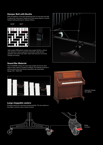#### **Damper Belt with Buckle**

With the addition of the belt dampening link it's now easy and safe to adjust the instrument's height and it also gives players a smooth damper feeling allowing for damper effects.





High quality POM plastic buckles were tested 10.000 x without any reduction in grip or general functionality. High density polyester twill woven belt. Bent metal rods and worn-out screw threads are history.



#### **Sound Bar Material**

The YV-2030MS utilises the same high-quality aluminium alloy which is also used for Yamaha's Celestas. The material produces a soft and warm tone that blends beautifully into ensembles. Range: F33 – F69 (f-f3)



#### **Large stoppable casters**

Enlarged casters for improved manoeuvrability. The two casters at the player's position have a brake function.